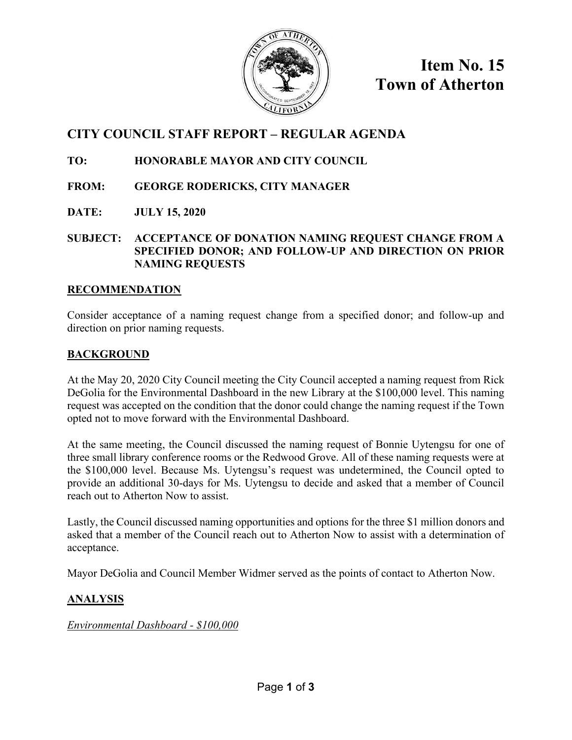

**Item No. 15 Town of Atherton**

# **CITY COUNCIL STAFF REPORT – REGULAR AGENDA**

# **TO: HONORABLE MAYOR AND CITY COUNCIL**

- **FROM: GEORGE RODERICKS, CITY MANAGER**
- **DATE: JULY 15, 2020**
- **SUBJECT: ACCEPTANCE OF DONATION NAMING REQUEST CHANGE FROM A SPECIFIED DONOR; AND FOLLOW-UP AND DIRECTION ON PRIOR NAMING REQUESTS**

#### **RECOMMENDATION**

Consider acceptance of a naming request change from a specified donor; and follow-up and direction on prior naming requests.

# **BACKGROUND**

At the May 20, 2020 City Council meeting the City Council accepted a naming request from Rick DeGolia for the Environmental Dashboard in the new Library at the \$100,000 level. This naming request was accepted on the condition that the donor could change the naming request if the Town opted not to move forward with the Environmental Dashboard.

At the same meeting, the Council discussed the naming request of Bonnie Uytengsu for one of three small library conference rooms or the Redwood Grove. All of these naming requests were at the \$100,000 level. Because Ms. Uytengsu's request was undetermined, the Council opted to provide an additional 30-days for Ms. Uytengsu to decide and asked that a member of Council reach out to Atherton Now to assist.

Lastly, the Council discussed naming opportunities and options for the three \$1 million donors and asked that a member of the Council reach out to Atherton Now to assist with a determination of acceptance.

Mayor DeGolia and Council Member Widmer served as the points of contact to Atherton Now.

# **ANALYSIS**

*Environmental Dashboard - \$100,000*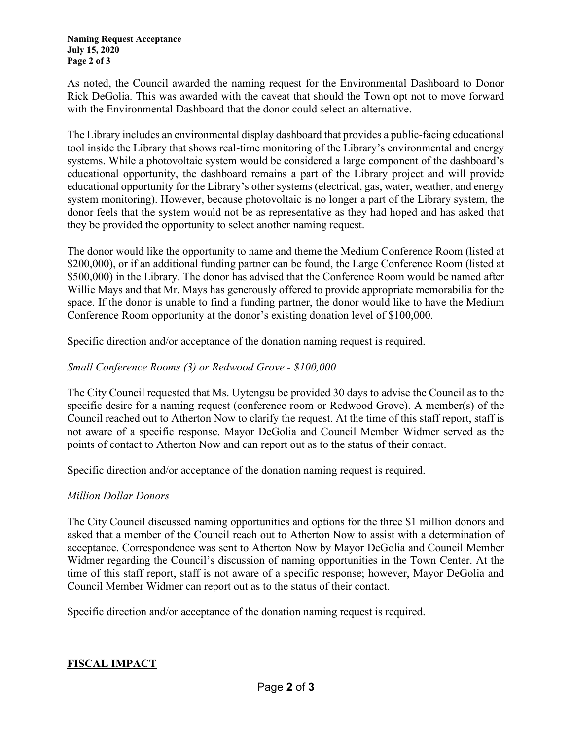As noted, the Council awarded the naming request for the Environmental Dashboard to Donor Rick DeGolia. This was awarded with the caveat that should the Town opt not to move forward with the Environmental Dashboard that the donor could select an alternative.

The Library includes an environmental display dashboard that provides a public-facing educational tool inside the Library that shows real-time monitoring of the Library's environmental and energy systems. While a photovoltaic system would be considered a large component of the dashboard's educational opportunity, the dashboard remains a part of the Library project and will provide educational opportunity for the Library's other systems (electrical, gas, water, weather, and energy system monitoring). However, because photovoltaic is no longer a part of the Library system, the donor feels that the system would not be as representative as they had hoped and has asked that they be provided the opportunity to select another naming request.

The donor would like the opportunity to name and theme the Medium Conference Room (listed at \$200,000), or if an additional funding partner can be found, the Large Conference Room (listed at \$500,000) in the Library. The donor has advised that the Conference Room would be named after Willie Mays and that Mr. Mays has generously offered to provide appropriate memorabilia for the space. If the donor is unable to find a funding partner, the donor would like to have the Medium Conference Room opportunity at the donor's existing donation level of \$100,000.

Specific direction and/or acceptance of the donation naming request is required.

#### *Small Conference Rooms (3) or Redwood Grove - \$100,000*

The City Council requested that Ms. Uytengsu be provided 30 days to advise the Council as to the specific desire for a naming request (conference room or Redwood Grove). A member(s) of the Council reached out to Atherton Now to clarify the request. At the time of this staff report, staff is not aware of a specific response. Mayor DeGolia and Council Member Widmer served as the points of contact to Atherton Now and can report out as to the status of their contact.

Specific direction and/or acceptance of the donation naming request is required.

## *Million Dollar Donors*

The City Council discussed naming opportunities and options for the three \$1 million donors and asked that a member of the Council reach out to Atherton Now to assist with a determination of acceptance. Correspondence was sent to Atherton Now by Mayor DeGolia and Council Member Widmer regarding the Council's discussion of naming opportunities in the Town Center. At the time of this staff report, staff is not aware of a specific response; however, Mayor DeGolia and Council Member Widmer can report out as to the status of their contact.

Specific direction and/or acceptance of the donation naming request is required.

## **FISCAL IMPACT**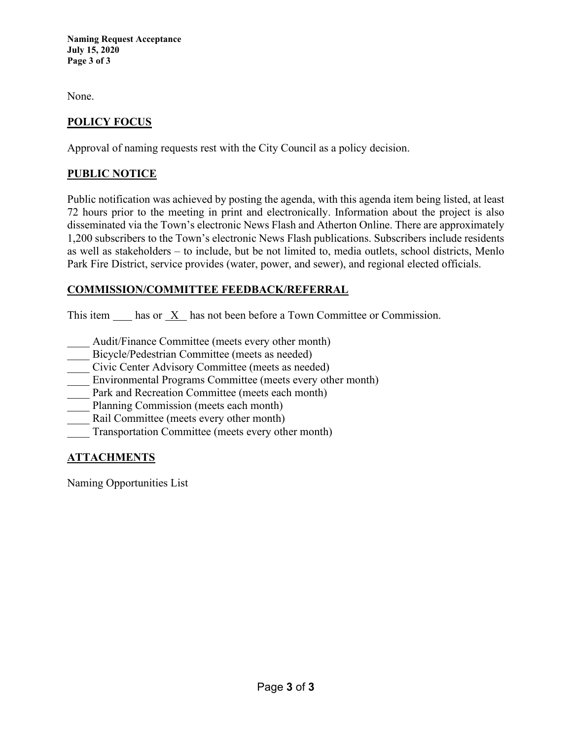**Naming Request Acceptance July 15, 2020 Page 3 of 3**

None.

#### **POLICY FOCUS**

Approval of naming requests rest with the City Council as a policy decision.

#### **PUBLIC NOTICE**

Public notification was achieved by posting the agenda, with this agenda item being listed, at least 72 hours prior to the meeting in print and electronically. Information about the project is also disseminated via the Town's electronic News Flash and Atherton Online. There are approximately 1,200 subscribers to the Town's electronic News Flash publications. Subscribers include residents as well as stakeholders – to include, but be not limited to, media outlets, school districts, Menlo Park Fire District, service provides (water, power, and sewer), and regional elected officials.

#### **COMMISSION/COMMITTEE FEEDBACK/REFERRAL**

This item has or X has not been before a Town Committee or Commission.

- Audit/Finance Committee (meets every other month)
- Bicycle/Pedestrian Committee (meets as needed)
- \_\_\_\_ Civic Center Advisory Committee (meets as needed)
- Environmental Programs Committee (meets every other month)
- Park and Recreation Committee (meets each month)
- Planning Commission (meets each month)
- Rail Committee (meets every other month)
- Transportation Committee (meets every other month)

## **ATTACHMENTS**

Naming Opportunities List